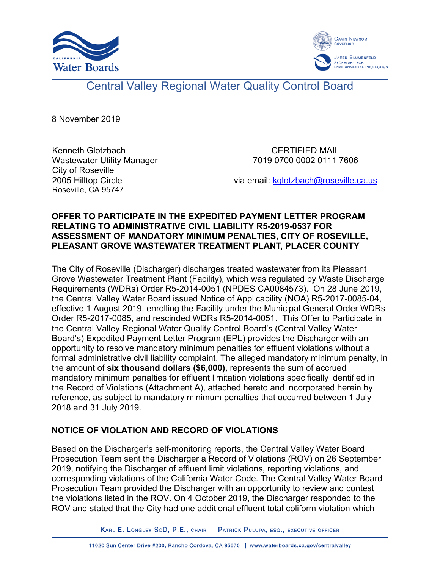



# Central Valley Regional Water Quality Control Board

8 November 2019

Kenneth Glotzbach Wastewater Utility Manager City of Roseville 2005 Hilltop Circle Roseville, CA 95747

CERTIFIED MAIL 7019 0700 0002 0111 7606

via email: [kglotzbach@roseville.ca.us](mailto:kglotzbach@roseville.ca.us)

#### **OFFER TO PARTICIPATE IN THE EXPEDITED PAYMENT LETTER PROGRAM RELATING TO ADMINISTRATIVE CIVIL LIABILITY R5-2019-0537 FOR ASSESSMENT OF MANDATORY MINIMUM PENALTIES, CITY OF ROSEVILLE, PLEASANT GROVE WASTEWATER TREATMENT PLANT, PLACER COUNTY**

The City of Roseville (Discharger) discharges treated wastewater from its Pleasant Grove Wastewater Treatment Plant (Facility), which was regulated by Waste Discharge Requirements (WDRs) Order R5-2014-0051 (NPDES CA0084573). On 28 June 2019, the Central Valley Water Board issued Notice of Applicability (NOA) R5-2017-0085-04, effective 1 August 2019, enrolling the Facility under the Municipal General Order WDRs Order R5-2017-0085, and rescinded WDRs R5-2014-0051. This Offer to Participate in the Central Valley Regional Water Quality Control Board's (Central Valley Water Board's) Expedited Payment Letter Program (EPL) provides the Discharger with an opportunity to resolve mandatory minimum penalties for effluent violations without a formal administrative civil liability complaint. The alleged mandatory minimum penalty, in the amount of **six thousand dollars (\$6,000),** represents the sum of accrued mandatory minimum penalties for effluent limitation violations specifically identified in the Record of Violations (Attachment A), attached hereto and incorporated herein by reference, as subject to mandatory minimum penalties that occurred between 1 July 2018 and 31 July 2019.

#### **NOTICE OF VIOLATION AND RECORD OF VIOLATIONS**

Based on the Discharger's self-monitoring reports, the Central Valley Water Board Prosecution Team sent the Discharger a Record of Violations (ROV) on 26 September 2019, notifying the Discharger of effluent limit violations, reporting violations, and corresponding violations of the California Water Code. The Central Valley Water Board Prosecution Team provided the Discharger with an opportunity to review and contest the violations listed in the ROV. On 4 October 2019, the Discharger responded to the ROV and stated that the City had one additional effluent total coliform violation which

KARL E. LONGLEY SCD, P.E., CHAIR | PATRICK PULUPA, ESQ., EXECUTIVE OFFICER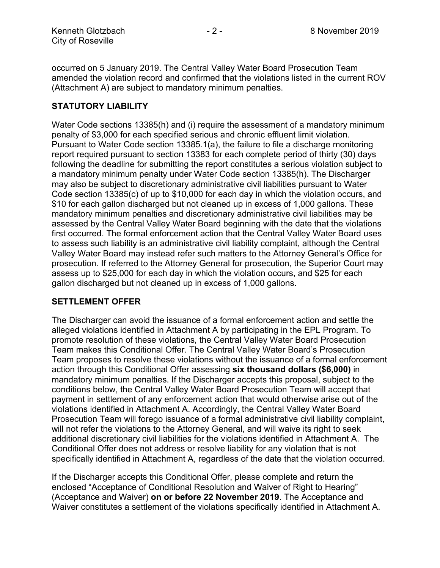occurred on 5 January 2019. The Central Valley Water Board Prosecution Team amended the violation record and confirmed that the violations listed in the current ROV (Attachment A) are subject to mandatory minimum penalties.

#### **STATUTORY LIABILITY**

Water Code sections 13385(h) and (i) require the assessment of a mandatory minimum penalty of \$3,000 for each specified serious and chronic effluent limit violation. Pursuant to Water Code section 13385.1(a), the failure to file a discharge monitoring report required pursuant to section 13383 for each complete period of thirty (30) days following the deadline for submitting the report constitutes a serious violation subject to a mandatory minimum penalty under Water Code section 13385(h). The Discharger may also be subject to discretionary administrative civil liabilities pursuant to Water Code section 13385(c) of up to \$10,000 for each day in which the violation occurs, and \$10 for each gallon discharged but not cleaned up in excess of 1,000 gallons. These mandatory minimum penalties and discretionary administrative civil liabilities may be assessed by the Central Valley Water Board beginning with the date that the violations first occurred. The formal enforcement action that the Central Valley Water Board uses to assess such liability is an administrative civil liability complaint, although the Central Valley Water Board may instead refer such matters to the Attorney General's Office for prosecution. If referred to the Attorney General for prosecution, the Superior Court may assess up to \$25,000 for each day in which the violation occurs, and \$25 for each gallon discharged but not cleaned up in excess of 1,000 gallons.

#### **SETTLEMENT OFFER**

The Discharger can avoid the issuance of a formal enforcement action and settle the alleged violations identified in Attachment A by participating in the EPL Program. To promote resolution of these violations, the Central Valley Water Board Prosecution Team makes this Conditional Offer. The Central Valley Water Board's Prosecution Team proposes to resolve these violations without the issuance of a formal enforcement action through this Conditional Offer assessing **six thousand dollars (\$6,000)** in mandatory minimum penalties. If the Discharger accepts this proposal, subject to the conditions below, the Central Valley Water Board Prosecution Team will accept that payment in settlement of any enforcement action that would otherwise arise out of the violations identified in Attachment A. Accordingly, the Central Valley Water Board Prosecution Team will forego issuance of a formal administrative civil liability complaint, will not refer the violations to the Attorney General, and will waive its right to seek additional discretionary civil liabilities for the violations identified in Attachment A. The Conditional Offer does not address or resolve liability for any violation that is not specifically identified in Attachment A, regardless of the date that the violation occurred.

If the Discharger accepts this Conditional Offer, please complete and return the enclosed "Acceptance of Conditional Resolution and Waiver of Right to Hearing" (Acceptance and Waiver) **on or before 22 November 2019**. The Acceptance and Waiver constitutes a settlement of the violations specifically identified in Attachment A.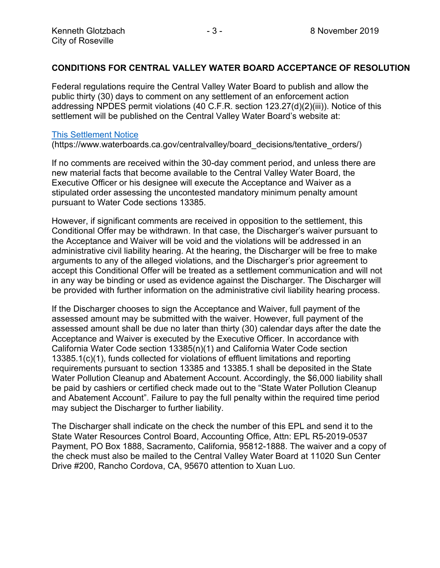#### **CONDITIONS FOR CENTRAL VALLEY WATER BOARD ACCEPTANCE OF RESOLUTION**

Federal regulations require the Central Valley Water Board to publish and allow the public thirty (30) days to comment on any settlement of an enforcement action addressing NPDES permit violations (40 C.F.R. section 123.27(d)(2)(iii)). Notice of this settlement will be published on the Central Valley Water Board's website at:

#### [This Settlement Notice](https://www.waterboards.ca.gov/centralvalley/board_decisions/tentative_orders/)

(https://www.waterboards.ca.gov/centralvalley/board\_decisions/tentative\_orders/)

If no comments are received within the 30-day comment period, and unless there are new material facts that become available to the Central Valley Water Board, the Executive Officer or his designee will execute the Acceptance and Waiver as a stipulated order assessing the uncontested mandatory minimum penalty amount pursuant to Water Code sections 13385.

However, if significant comments are received in opposition to the settlement, this Conditional Offer may be withdrawn. In that case, the Discharger's waiver pursuant to the Acceptance and Waiver will be void and the violations will be addressed in an administrative civil liability hearing. At the hearing, the Discharger will be free to make arguments to any of the alleged violations, and the Discharger's prior agreement to accept this Conditional Offer will be treated as a settlement communication and will not in any way be binding or used as evidence against the Discharger. The Discharger will be provided with further information on the administrative civil liability hearing process.

If the Discharger chooses to sign the Acceptance and Waiver, full payment of the assessed amount may be submitted with the waiver. However, full payment of the assessed amount shall be due no later than thirty (30) calendar days after the date the Acceptance and Waiver is executed by the Executive Officer. In accordance with California Water Code section 13385(n)(1) and California Water Code section 13385.1(c)(1), funds collected for violations of effluent limitations and reporting requirements pursuant to section 13385 and 13385.1 shall be deposited in the State Water Pollution Cleanup and Abatement Account. Accordingly, the \$6,000 liability shall be paid by cashiers or certified check made out to the "State Water Pollution Cleanup and Abatement Account". Failure to pay the full penalty within the required time period may subject the Discharger to further liability.

The Discharger shall indicate on the check the number of this EPL and send it to the State Water Resources Control Board, Accounting Office, Attn: EPL R5-2019-0537 Payment, PO Box 1888, Sacramento, California, 95812-1888. The waiver and a copy of the check must also be mailed to the Central Valley Water Board at 11020 Sun Center Drive #200, Rancho Cordova, CA, 95670 attention to Xuan Luo.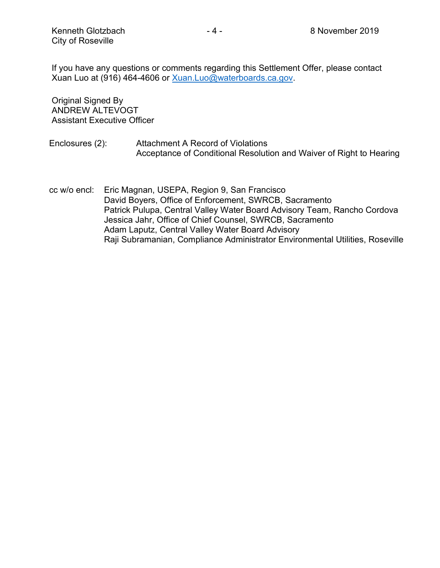If you have any questions or comments regarding this Settlement Offer, please contact Xuan Luo at (916) 464-4606 or [Xuan.Luo@waterboards.ca.gov.](mailto:Xuan.Luo@waterboards.ca.gov)

Original Signed By ANDREW ALTEVOGT Assistant Executive Officer

- Enclosures (2): Attachment A Record of Violations Acceptance of Conditional Resolution and Waiver of Right to Hearing
- cc w/o encl: Eric Magnan, USEPA, Region 9, San Francisco David Boyers, Office of Enforcement, SWRCB, Sacramento Patrick Pulupa, Central Valley Water Board Advisory Team, Rancho Cordova Jessica Jahr, Office of Chief Counsel, SWRCB, Sacramento Adam Laputz, Central Valley Water Board Advisory Raji Subramanian, Compliance Administrator Environmental Utilities, Roseville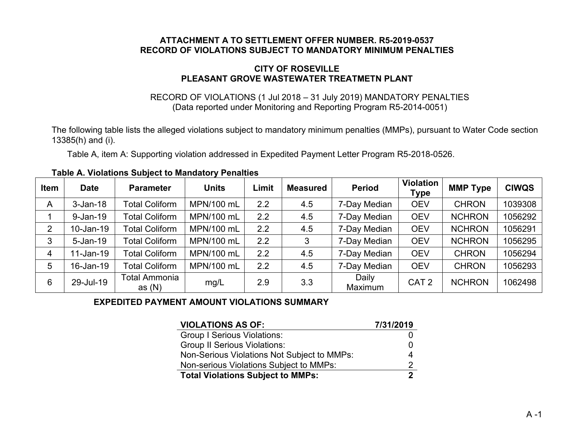#### **ATTACHMENT A TO SETTLEMENT OFFER NUMBER. R5-2019-0537 RECORD OF VIOLATIONS SUBJECT TO MANDATORY MINIMUM PENALTIES**

#### **CITY OF ROSEVILLE PLEASANT GROVE WASTEWATER TREATMETN PLANT**

#### RECORD OF VIOLATIONS (1 Jul 2018 – 31 July 2019) MANDATORY PENALTIES (Data reported under Monitoring and Reporting Program R5-2014-0051)

The following table lists the alleged violations subject to mandatory minimum penalties (MMPs), pursuant to Water Code section 13385(h) and (i).

Table A, item A: Supporting violation addressed in Expedited Payment Letter Program R5-2018-0526.

| <b>Item</b>    | <b>Date</b>  | <b>Parameter</b>                 | <b>Units</b> | Limit | <b>Measured</b> | <b>Period</b>    | <b>Violation</b><br><b>Type</b> | <b>MMP Type</b> | <b>CIWQS</b> |
|----------------|--------------|----------------------------------|--------------|-------|-----------------|------------------|---------------------------------|-----------------|--------------|
| A              | $3-Jan-18$   | <b>Total Coliform</b>            | MPN/100 mL   | 2.2   | 4.5             | 7-Day Median     | <b>OEV</b>                      | <b>CHRON</b>    | 1039308      |
|                | $9 - Jan-19$ | <b>Total Coliform</b>            | MPN/100 mL   | 2.2   | 4.5             | 7-Day Median     | <b>OEV</b>                      | <b>NCHRON</b>   | 1056292      |
| $\overline{2}$ | 10-Jan-19    | <b>Total Coliform</b>            | MPN/100 mL   | 2.2   | 4.5             | 7-Day Median     | <b>OEV</b>                      | <b>NCHRON</b>   | 1056291      |
| 3              | $5 - Jan-19$ | <b>Total Coliform</b>            | MPN/100 mL   | 2.2   | 3               | 7-Day Median     | <b>OEV</b>                      | <b>NCHRON</b>   | 1056295      |
| 4              | 11-Jan-19    | <b>Total Coliform</b>            | MPN/100 mL   | 2.2   | 4.5             | 7-Day Median     | <b>OEV</b>                      | <b>CHRON</b>    | 1056294      |
| 5              | 16-Jan-19    | <b>Total Coliform</b>            | MPN/100 mL   | 2.2   | 4.5             | 7-Day Median     | <b>OEV</b>                      | <b>CHRON</b>    | 1056293      |
| 6              | 29-Jul-19    | <b>Total Ammonia</b><br>as $(N)$ | mg/L         | 2.9   | 3.3             | Daily<br>Maximum | CAT <sub>2</sub>                | <b>NCHRON</b>   | 1062498      |

**Table A. Violations Subject to Mandatory Penalties**

## **EXPEDITED PAYMENT AMOUNT VIOLATIONS SUMMARY**

| <b>VIOLATIONS AS OF:</b>                    | 7/31/2019    |
|---------------------------------------------|--------------|
| <b>Group I Serious Violations:</b>          |              |
| <b>Group II Serious Violations:</b>         | $\mathbf{O}$ |
| Non-Serious Violations Not Subject to MMPs: | 4            |
| Non-serious Violations Subject to MMPs:     | 2            |
| <b>Total Violations Subject to MMPs:</b>    |              |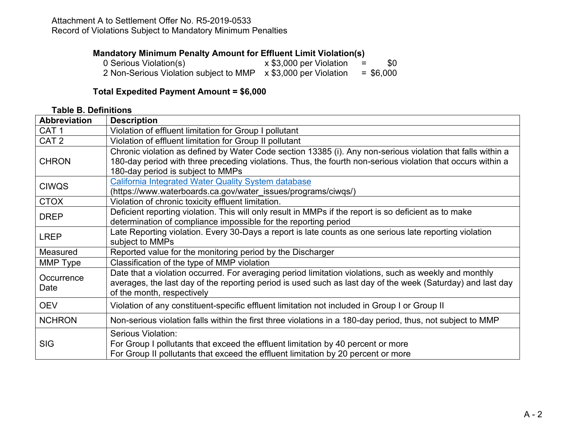#### Attachment A to Settlement Offer No. R5-2019-0533 Record of Violations Subject to Mandatory Minimum Penalties

### **Mandatory Minimum Penalty Amount for Effluent Limit Violation(s)**

| 0 Serious Violation(s)                                         | x \$3,000 per Violation | \$0<br>$=$  |
|----------------------------------------------------------------|-------------------------|-------------|
| 2 Non-Serious Violation subject to MMP x \$3,000 per Violation |                         | $=$ \$6,000 |

#### **Total Expedited Payment Amount = \$6,000**

#### **Table B. Definitions**

| <b>Abbreviation</b> | <b>Description</b>                                                                                                                                                                                                                                              |
|---------------------|-----------------------------------------------------------------------------------------------------------------------------------------------------------------------------------------------------------------------------------------------------------------|
| CAT <sub>1</sub>    | Violation of effluent limitation for Group I pollutant                                                                                                                                                                                                          |
| CAT <sub>2</sub>    | Violation of effluent limitation for Group II pollutant                                                                                                                                                                                                         |
| <b>CHRON</b>        | Chronic violation as defined by Water Code section 13385 (i). Any non-serious violation that falls within a<br>180-day period with three preceding violations. Thus, the fourth non-serious violation that occurs within a<br>180-day period is subject to MMPs |
| <b>CIWQS</b>        | California Integrated Water Quality System database<br>(https://www.waterboards.ca.gov/water_issues/programs/ciwqs/)                                                                                                                                            |
| <b>CTOX</b>         | Violation of chronic toxicity effluent limitation.                                                                                                                                                                                                              |
| <b>DREP</b>         | Deficient reporting violation. This will only result in MMPs if the report is so deficient as to make<br>determination of compliance impossible for the reporting period                                                                                        |
| <b>LREP</b>         | Late Reporting violation. Every 30-Days a report is late counts as one serious late reporting violation<br>subject to MMPs                                                                                                                                      |
| Measured            | Reported value for the monitoring period by the Discharger                                                                                                                                                                                                      |
| MMP Type            | Classification of the type of MMP violation                                                                                                                                                                                                                     |
| Occurrence<br>Date  | Date that a violation occurred. For averaging period limitation violations, such as weekly and monthly<br>averages, the last day of the reporting period is used such as last day of the week (Saturday) and last day<br>of the month, respectively             |
| <b>OEV</b>          | Violation of any constituent-specific effluent limitation not included in Group I or Group II                                                                                                                                                                   |
| <b>NCHRON</b>       | Non-serious violation falls within the first three violations in a 180-day period, thus, not subject to MMP                                                                                                                                                     |
| <b>SIG</b>          | Serious Violation:<br>For Group I pollutants that exceed the effluent limitation by 40 percent or more<br>For Group II pollutants that exceed the effluent limitation by 20 percent or more                                                                     |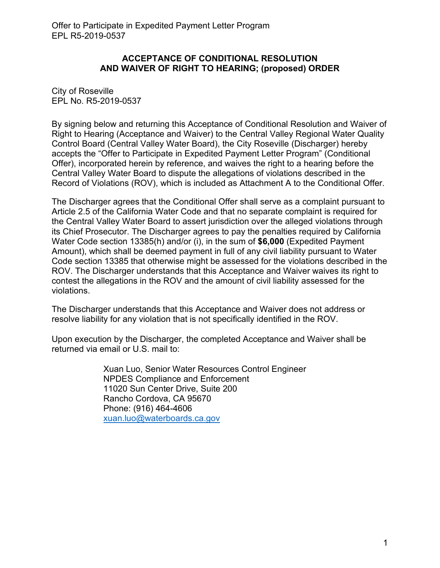#### **ACCEPTANCE OF CONDITIONAL RESOLUTION AND WAIVER OF RIGHT TO HEARING; (proposed) ORDER**

City of Roseville EPL No. R5-2019-0537

By signing below and returning this Acceptance of Conditional Resolution and Waiver of Right to Hearing (Acceptance and Waiver) to the Central Valley Regional Water Quality Control Board (Central Valley Water Board), the City Roseville (Discharger) hereby accepts the "Offer to Participate in Expedited Payment Letter Program" (Conditional Offer), incorporated herein by reference, and waives the right to a hearing before the Central Valley Water Board to dispute the allegations of violations described in the Record of Violations (ROV), which is included as Attachment A to the Conditional Offer.

The Discharger agrees that the Conditional Offer shall serve as a complaint pursuant to Article 2.5 of the California Water Code and that no separate complaint is required for the Central Valley Water Board to assert jurisdiction over the alleged violations through its Chief Prosecutor. The Discharger agrees to pay the penalties required by California Water Code section 13385(h) and/or (i), in the sum of **\$6,000** (Expedited Payment Amount), which shall be deemed payment in full of any civil liability pursuant to Water Code section 13385 that otherwise might be assessed for the violations described in the ROV. The Discharger understands that this Acceptance and Waiver waives its right to contest the allegations in the ROV and the amount of civil liability assessed for the violations.

The Discharger understands that this Acceptance and Waiver does not address or resolve liability for any violation that is not specifically identified in the ROV.

Upon execution by the Discharger, the completed Acceptance and Waiver shall be returned via email or U.S. mail to:

> Xuan Luo, Senior Water Resources Control Engineer NPDES Compliance and Enforcement 11020 Sun Center Drive, Suite 200 Rancho Cordova, CA 95670 Phone: (916) 464-4606 [xuan.luo@waterboards.ca.gov](mailto:xuan.luo@waterboards.ca.gov)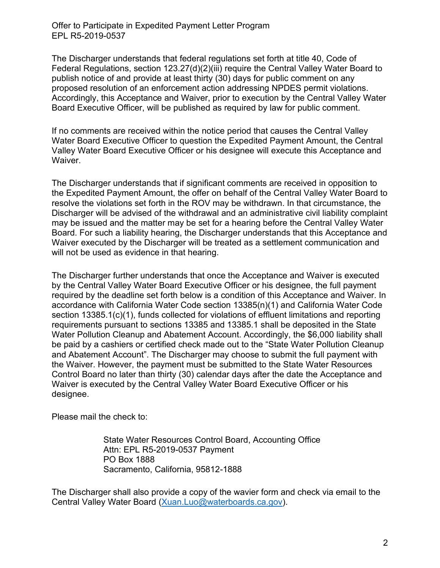Offer to Participate in Expedited Payment Letter Program EPL R5-2019-0537

The Discharger understands that federal regulations set forth at title 40, Code of Federal Regulations, section 123.27(d)(2)(iii) require the Central Valley Water Board to publish notice of and provide at least thirty (30) days for public comment on any proposed resolution of an enforcement action addressing NPDES permit violations. Accordingly, this Acceptance and Waiver, prior to execution by the Central Valley Water Board Executive Officer, will be published as required by law for public comment.

If no comments are received within the notice period that causes the Central Valley Water Board Executive Officer to question the Expedited Payment Amount, the Central Valley Water Board Executive Officer or his designee will execute this Acceptance and Waiver.

The Discharger understands that if significant comments are received in opposition to the Expedited Payment Amount, the offer on behalf of the Central Valley Water Board to resolve the violations set forth in the ROV may be withdrawn. In that circumstance, the Discharger will be advised of the withdrawal and an administrative civil liability complaint may be issued and the matter may be set for a hearing before the Central Valley Water Board. For such a liability hearing, the Discharger understands that this Acceptance and Waiver executed by the Discharger will be treated as a settlement communication and will not be used as evidence in that hearing.

The Discharger further understands that once the Acceptance and Waiver is executed by the Central Valley Water Board Executive Officer or his designee, the full payment required by the deadline set forth below is a condition of this Acceptance and Waiver. In accordance with California Water Code section 13385(n)(1) and California Water Code section 13385.1(c)(1), funds collected for violations of effluent limitations and reporting requirements pursuant to sections 13385 and 13385.1 shall be deposited in the State Water Pollution Cleanup and Abatement Account. Accordingly, the \$6,000 liability shall be paid by a cashiers or certified check made out to the "State Water Pollution Cleanup and Abatement Account". The Discharger may choose to submit the full payment with the Waiver. However, the payment must be submitted to the State Water Resources Control Board no later than thirty (30) calendar days after the date the Acceptance and Waiver is executed by the Central Valley Water Board Executive Officer or his designee.

Please mail the check to:

State Water Resources Control Board, Accounting Office Attn: EPL R5-2019-0537 Payment PO Box 1888 Sacramento, California, 95812-1888

The Discharger shall also provide a copy of the wavier form and check via email to the Central Valley Water Board ([Xuan.Luo@waterboards.ca.gov](mailto:Xuan.Luo@waterboards.ca.gov)).